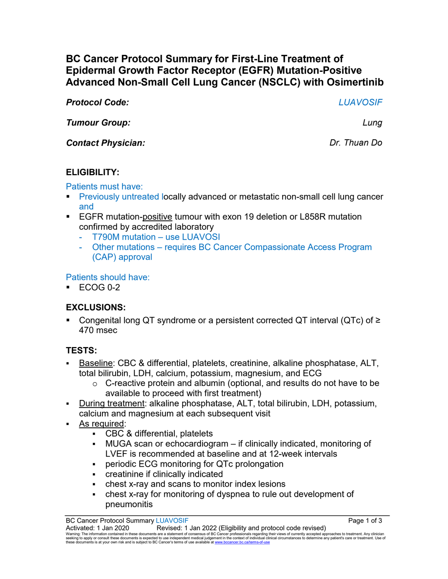# **BC Cancer Protocol Summary for First-Line Treatment of Epidermal Growth Factor Receptor (EGFR) Mutation-Positive Advanced Non-Small Cell Lung Cancer (NSCLC) with Osimertinib**

*Protocol Code: LUAVOSIF*

*Tumour Group: Lung*

*Contact Physician: Dr. Thuan Do*

# **ELIGIBILITY:**

Patients must have:

- **Previously untreated locally advanced or metastatic non-small cell lung cancer** and
- **EGFR mutation-positive tumour with exon 19 deletion or L858R mutation** confirmed by accredited laboratory
	- T790M mutation use LUAVOSI
	- Other mutations requires BC Cancer Compassionate Access Program (CAP) approval

Patients should have:

 $\text{FCOG}$  0-2

# **EXCLUSIONS:**

■ Congenital long QT syndrome or a persistent corrected QT interval (QTc) of  $\ge$ 470 msec

# **TESTS:**

- Baseline: CBC & differential, platelets, creatinine, alkaline phosphatase, ALT, total bilirubin, LDH, calcium, potassium, magnesium, and ECG
	- $\circ$  C-reactive protein and albumin (optional, and results do not have to be available to proceed with first treatment)
- During treatment: alkaline phosphatase, ALT, total bilirubin, LDH, potassium, calcium and magnesium at each subsequent visit
- As required:
	- CBC & differential, platelets
	- MUGA scan or echocardiogram if clinically indicated, monitoring of LVEF is recommended at baseline and at 12-week intervals
	- periodic ECG monitoring for QTc prolongation
	- creatinine if clinically indicated
	- chest x-ray and scans to monitor index lesions
	- chest x-ray for monitoring of dyspnea to rule out development of pneumonitis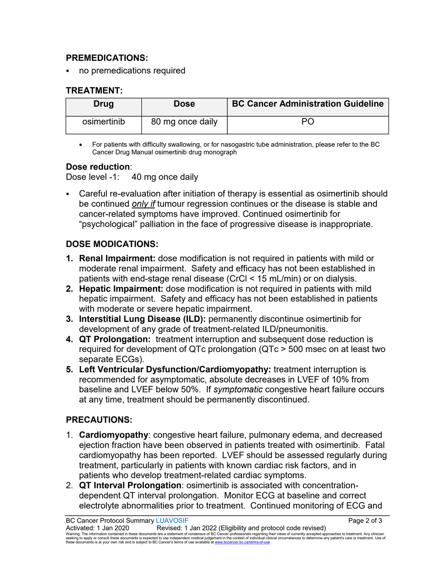### **PREMEDICATIONS:**

no premedications required

### **TREATMENT:**

| Drug        | <b>Dose</b>      | <b>BC Cancer Administration Guideline</b> |
|-------------|------------------|-------------------------------------------|
| osimertinib | 80 mg once daily |                                           |

• For patients with difficulty swallowing, or for nasogastric tube administration, please refer to the BC Cancer Drug Manual osimertinib drug monograph

### **Dose reduction**:

Dose level -1: 40 mg once daily

 Careful re-evaluation after initiation of therapy is essential as osimertinib should be continued *only if* tumour regression continues or the disease is stable and cancer-related symptoms have improved. Continued osimertinib for "psychological" palliation in the face of progressive disease is inappropriate.

# **DOSE MODICATIONS:**

- **1. Renal Impairment:** dose modification is not required in patients with mild or moderate renal impairment. Safety and efficacy has not been established in patients with end-stage renal disease (CrCl < 15 mL/min) or on dialysis.
- **2. Hepatic Impairment:** dose modification is not required in patients with mild hepatic impairment. Safety and efficacy has not been established in patients with moderate or severe hepatic impairment.
- **3. Interstitial Lung Disease (ILD):** permanently discontinue osimertinib for development of any grade of treatment-related ILD/pneumonitis.
- **4. QT Prolongation:** treatment interruption and subsequent dose reduction is required for development of QTc prolongation (QTc > 500 msec on at least two separate ECGs).
- **5. Left Ventricular Dysfunction/Cardiomyopathy:** treatment interruption is recommended for asymptomatic, absolute decreases in LVEF of 10% from baseline and LVEF below 50%. If *symptomatic* congestive heart failure occurs at any time, treatment should be permanently discontinued.

# **PRECAUTIONS:**

- 1. **Cardiomyopathy**: congestive heart failure, pulmonary edema, and decreased ejection fraction have been observed in patients treated with osimertinib. Fatal cardiomyopathy has been reported. LVEF should be assessed regularly during treatment, particularly in patients with known cardiac risk factors, and in patients who develop treatment-related cardiac symptoms.
- 2. **QT Interval Prolongation**: osimertinib is associated with concentrationdependent QT interval prolongation. Monitor ECG at baseline and correct electrolyte abnormalities prior to treatment. Continued monitoring of ECG and

BC Cancer Protocol Summary LUAVOSIF<br>Activated: 1 Jan 2020 Revised: 1 Jan 2022 (Eligibility and protocol code revised) Revised: 1 Jan 2022 (Eligibility and protocol code revised) Warning: The information contained in these documents are a statement of consensus of BC Cancer professionals regarding their views of currently accepted approaches to treatment. Any clinician<br>seeking to apply or consult t